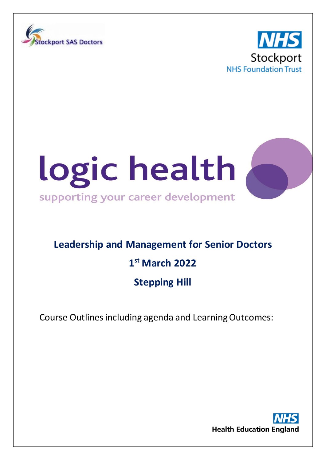





# **Leadership and Management for Senior Doctors**

## **1st March 2022**

### **Stepping Hill**

Course Outlines including agenda and Learning Outcomes: